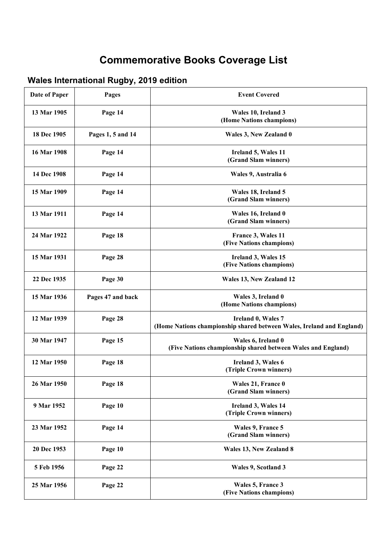## **Commemorative Books Coverage List**

## **Wales International Rugby, 2019 edition**

| <b>Date of Paper</b> | Pages             | <b>Event Covered</b>                                                                        |
|----------------------|-------------------|---------------------------------------------------------------------------------------------|
| 13 Mar 1905          | Page 14           | Wales 10, Ireland 3<br>(Home Nations champions)                                             |
| 18 Dec 1905          | Pages 1, 5 and 14 | Wales 3, New Zealand 0                                                                      |
| 16 Mar 1908          | Page 14           | Ireland 5, Wales 11<br>(Grand Slam winners)                                                 |
| 14 Dec 1908          | Page 14           | Wales 9, Australia 6                                                                        |
| 15 Mar 1909          | Page 14           | Wales 18, Ireland 5<br>(Grand Slam winners)                                                 |
| 13 Mar 1911          | Page 14           | Wales 16, Ireland 0<br>(Grand Slam winners)                                                 |
| 24 Mar 1922          | Page 18           | France 3, Wales 11<br>(Five Nations champions)                                              |
| 15 Mar 1931          | Page 28           | Ireland 3, Wales 15<br>(Five Nations champions)                                             |
| 22 Dec 1935          | Page 30           | Wales 13, New Zealand 12                                                                    |
| 15 Mar 1936          | Pages 47 and back | Wales 3, Ireland 0<br>(Home Nations champions)                                              |
| 12 Mar 1939          | Page 28           | Ireland 0, Wales 7<br>(Home Nations championship shared between Wales, Ireland and England) |
| 30 Mar 1947          | Page 15           | Wales 6, Ireland 0<br>(Five Nations championship shared between Wales and England)          |
| 12 Mar 1950          | Page 18           | Ireland 3, Wales 6<br>(Triple Crown winners)                                                |
| 26 Mar 1950          | Page 18           | Wales 21, France 0<br>(Grand Slam winners)                                                  |
| 9 Mar 1952           | Page 10           | Ireland 3, Wales 14<br>(Triple Crown winners)                                               |
| 23 Mar 1952          | Page 14           | Wales 9, France 5<br>(Grand Slam winners)                                                   |
| 20 Dec 1953          | Page 10           | Wales 13, New Zealand 8                                                                     |
| 5 Feb 1956           | Page 22           | Wales 9, Scotland 3                                                                         |
| 25 Mar 1956          | Page 22           | Wales 5, France 3<br>(Five Nations champions)                                               |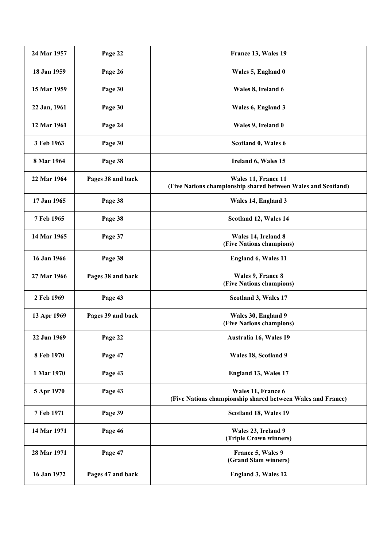| 24 Mar 1957  | Page 22           | France 13, Wales 19                                                                  |
|--------------|-------------------|--------------------------------------------------------------------------------------|
| 18 Jan 1959  | Page 26           | Wales 5, England 0                                                                   |
| 15 Mar 1959  | Page 30           | Wales 8, Ireland 6                                                                   |
| 22 Jan, 1961 | Page 30           | Wales 6, England 3                                                                   |
| 12 Mar 1961  | Page 24           | Wales 9, Ireland 0                                                                   |
| 3 Feb 1963   | Page 30           | Scotland 0, Wales 6                                                                  |
| 8 Mar 1964   | Page 38           | Ireland 6, Wales 15                                                                  |
| 22 Mar 1964  | Pages 38 and back | Wales 11, France 11<br>(Five Nations championship shared between Wales and Scotland) |
| 17 Jan 1965  | Page 38           | Wales 14, England 3                                                                  |
| 7 Feb 1965   | Page 38           | Scotland 12, Wales 14                                                                |
| 14 Mar 1965  | Page 37           | Wales 14, Ireland 8<br>(Five Nations champions)                                      |
| 16 Jan 1966  | Page 38           | <b>England 6, Wales 11</b>                                                           |
| 27 Mar 1966  | Pages 38 and back | Wales 9, France 8<br>(Five Nations champions)                                        |
| 2 Feb 1969   | Page 43           | Scotland 3, Wales 17                                                                 |
| 13 Apr 1969  | Pages 39 and back | Wales 30, England 9<br>(Five Nations champions)                                      |
| 22 Jun 1969  | Page 22           | Australia 16, Wales 19                                                               |
| 8 Feb 1970   | Page 47           | Wales 18, Scotland 9                                                                 |
| 1 Mar 1970   | Page 43           | <b>England 13, Wales 17</b>                                                          |
| 5 Apr 1970   | Page 43           | Wales 11, France 6<br>(Five Nations championship shared between Wales and France)    |
| 7 Feb 1971   | Page 39           | Scotland 18, Wales 19                                                                |
| 14 Mar 1971  | Page 46           | Wales 23, Ireland 9<br>(Triple Crown winners)                                        |
| 28 Mar 1971  | Page 47           | France 5, Wales 9<br>(Grand Slam winners)                                            |
| 16 Jan 1972  | Pages 47 and back | <b>England 3, Wales 12</b>                                                           |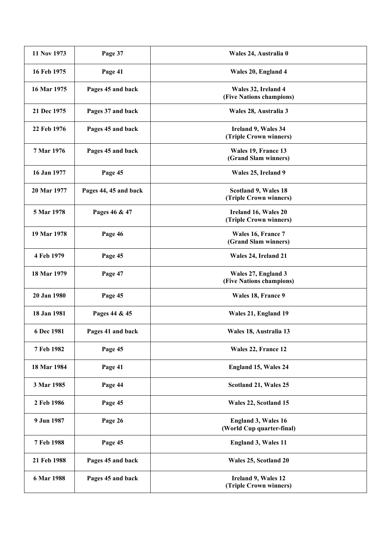| 11 Nov 1973 | Page 37               | Wales 24, Australia 0                                   |
|-------------|-----------------------|---------------------------------------------------------|
| 16 Feb 1975 | Page 41               | Wales 20, England 4                                     |
| 16 Mar 1975 | Pages 45 and back     | Wales 32, Ireland 4<br>(Five Nations champions)         |
| 21 Dec 1975 | Pages 37 and back     | Wales 28, Australia 3                                   |
| 22 Feb 1976 | Pages 45 and back     | Ireland 9, Wales 34<br>(Triple Crown winners)           |
| 7 Mar 1976  | Pages 45 and back     | Wales 19, France 13<br>(Grand Slam winners)             |
| 16 Jan 1977 | Page 45               | Wales 25, Ireland 9                                     |
| 20 Mar 1977 | Pages 44, 45 and back | Scotland 9, Wales 18<br>(Triple Crown winners)          |
| 5 Mar 1978  | Pages 46 & 47         | Ireland 16, Wales 20<br>(Triple Crown winners)          |
| 19 Mar 1978 | Page 46               | Wales 16, France 7<br>(Grand Slam winners)              |
| 4 Feb 1979  | Page 45               | Wales 24, Ireland 21                                    |
| 18 Mar 1979 | Page 47               | Wales 27, England 3<br>(Five Nations champions)         |
| 20 Jan 1980 | Page 45               | Wales 18, France 9                                      |
| 18 Jan 1981 | Pages 44 & 45         | Wales 21, England 19                                    |
| 6 Dec 1981  | Pages 41 and back     | Wales 18, Australia 13                                  |
| 7 Feb 1982  | Page 45               | Wales 22, France 12                                     |
| 18 Mar 1984 | Page 41               | <b>England 15, Wales 24</b>                             |
| 3 Mar 1985  | Page 44               | Scotland 21, Wales 25                                   |
| 2 Feb 1986  | Page 45               | Wales 22, Scotland 15                                   |
| 9 Jun 1987  | Page 26               | <b>England 3, Wales 16</b><br>(World Cup quarter-final) |
| 7 Feb 1988  | Page 45               | <b>England 3, Wales 11</b>                              |
| 21 Feb 1988 | Pages 45 and back     | Wales 25, Scotland 20                                   |
| 6 Mar 1988  | Pages 45 and back     | Ireland 9, Wales 12<br>(Triple Crown winners)           |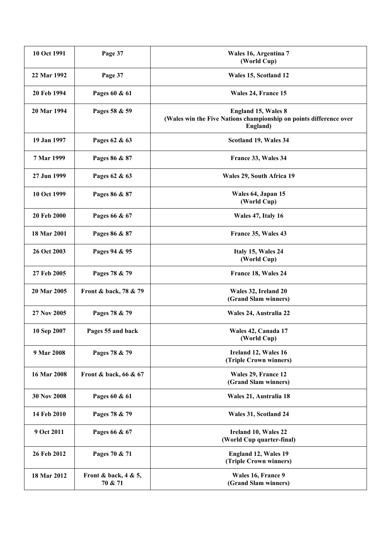| 10 Oct 1991 | Page 37                            | Wales 16, Argentina 7<br>(World Cup)                                                                         |
|-------------|------------------------------------|--------------------------------------------------------------------------------------------------------------|
| 22 Mar 1992 | Page 37                            | Wales 15, Scotland 12                                                                                        |
| 20 Feb 1994 | Pages 60 & 61                      | Wales 24, France 15                                                                                          |
| 20 Mar 1994 | Pages 58 & 59                      | <b>England 15, Wales 8</b><br>(Wales win the Five Nations championship on points difference over<br>England) |
| 19 Jan 1997 | Pages 62 & 63                      | Scotland 19, Wales 34                                                                                        |
| 7 Mar 1999  | Pages 86 & 87                      | France 33, Wales 34                                                                                          |
| 27 Jun 1999 | Pages 62 & 63                      | Wales 29, South Africa 19                                                                                    |
| 10 Oct 1999 | Pages 86 & 87                      | Wales 64, Japan 15<br>(World Cup)                                                                            |
| 20 Feb 2000 | Pages 66 & 67                      | Wales 47, Italy 16                                                                                           |
| 18 Mar 2001 | Pages 86 & 87                      | France 35, Wales 43                                                                                          |
| 26 Oct 2003 | Pages 94 & 95                      | Italy 15, Wales 24<br>(World Cup)                                                                            |
| 27 Feb 2005 | Pages 78 & 79                      | France 18, Wales 24                                                                                          |
| 20 Mar 2005 | Front & back, 78 & 79              | Wales 32, Ireland 20<br>(Grand Slam winners)                                                                 |
| 27 Nov 2005 | Pages 78 & 79                      | Wales 24, Australia 22                                                                                       |
| 10 Sep 2007 | Pages 55 and back                  | Wales 42, Canada 17<br>(World Cup)                                                                           |
| 9 Mar 2008  | Pages 78 & 79                      | Ireland 12, Wales 16<br>(Triple Crown winners)                                                               |
| 16 Mar 2008 | Front & back, 66 & 67              | Wales 29, France 12<br>(Grand Slam winners)                                                                  |
| 30 Nov 2008 | Pages 60 & 61                      | Wales 21, Australia 18                                                                                       |
| 14 Feb 2010 | Pages 78 & 79                      | Wales 31, Scotland 24                                                                                        |
| 9 Oct 2011  | Pages 66 & 67                      | Ireland 10, Wales 22<br>(World Cup quarter-final)                                                            |
| 26 Feb 2012 | Pages 70 & 71                      | <b>England 12, Wales 19</b><br>(Triple Crown winners)                                                        |
| 18 Mar 2012 | Front & back, $4 & 5$ ,<br>70 & 71 | Wales 16, France 9<br>(Grand Slam winners)                                                                   |